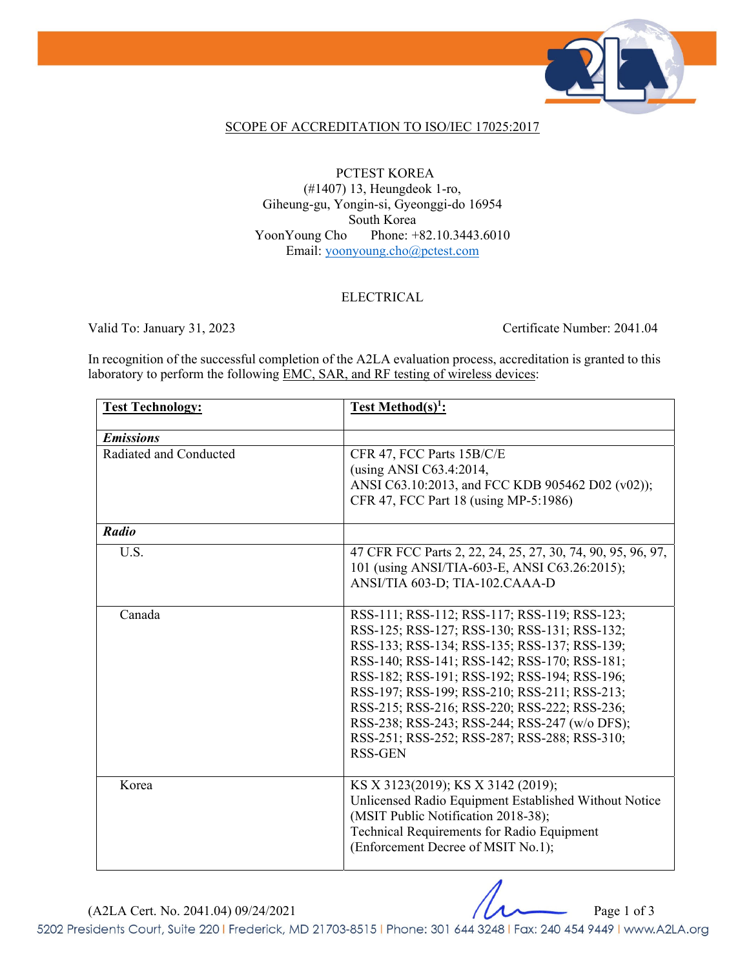

## SCOPE OF ACCREDITATION TO ISO/IEC 17025:2017

PCTEST KOREA (#1407) 13, Heungdeok 1-ro, Giheung-gu, Yongin-si, Gyeonggi-do 16954 South Korea YoonYoung Cho Phone: +82.10.3443.6010 Email: yoonyoung.cho@pctest.com

## ELECTRICAL

Valid To: January 31, 2023 Certificate Number: 2041.04

In recognition of the successful completion of the A2LA evaluation process, accreditation is granted to this laboratory to perform the following **EMC**, SAR, and RF testing of wireless devices:

| <b>Test Technology:</b> | <b>Test Method(s)<sup>1</sup>:</b>                          |
|-------------------------|-------------------------------------------------------------|
| <b>Emissions</b>        |                                                             |
| Radiated and Conducted  | CFR 47, FCC Parts 15B/C/E                                   |
|                         | (using ANSI C63.4:2014,                                     |
|                         | ANSI C63.10:2013, and FCC KDB 905462 D02 (v02));            |
|                         | CFR 47, FCC Part 18 (using MP-5:1986)                       |
| Radio                   |                                                             |
| U.S.                    | 47 CFR FCC Parts 2, 22, 24, 25, 27, 30, 74, 90, 95, 96, 97, |
|                         | 101 (using ANSI/TIA-603-E, ANSI C63.26:2015);               |
|                         | ANSI/TIA 603-D; TIA-102.CAAA-D                              |
| Canada                  | RSS-111; RSS-112; RSS-117; RSS-119; RSS-123;                |
|                         | RSS-125; RSS-127; RSS-130; RSS-131; RSS-132;                |
|                         | RSS-133; RSS-134; RSS-135; RSS-137; RSS-139;                |
|                         | RSS-140; RSS-141; RSS-142; RSS-170; RSS-181;                |
|                         | RSS-182; RSS-191; RSS-192; RSS-194; RSS-196;                |
|                         | RSS-197; RSS-199; RSS-210; RSS-211; RSS-213;                |
|                         | RSS-215; RSS-216; RSS-220; RSS-222; RSS-236;                |
|                         | RSS-238; RSS-243; RSS-244; RSS-247 (w/o DFS);               |
|                         | RSS-251; RSS-252; RSS-287; RSS-288; RSS-310;                |
|                         | <b>RSS-GEN</b>                                              |
| Korea                   | KS X 3123(2019); KS X 3142 (2019);                          |
|                         | Unlicensed Radio Equipment Established Without Notice       |
|                         | (MSIT Public Notification 2018-38);                         |
|                         | Technical Requirements for Radio Equipment                  |
|                         | (Enforcement Decree of MSIT No.1);                          |
|                         |                                                             |

 $(A2LA$  Cert. No. 2041.04) 09/24/2021 Page 1 of 3

5202 Presidents Court, Suite 220 | Frederick, MD 21703-8515 | Phone: 301 644 3248 | Fax: 240 454 9449 | www.A2LA.org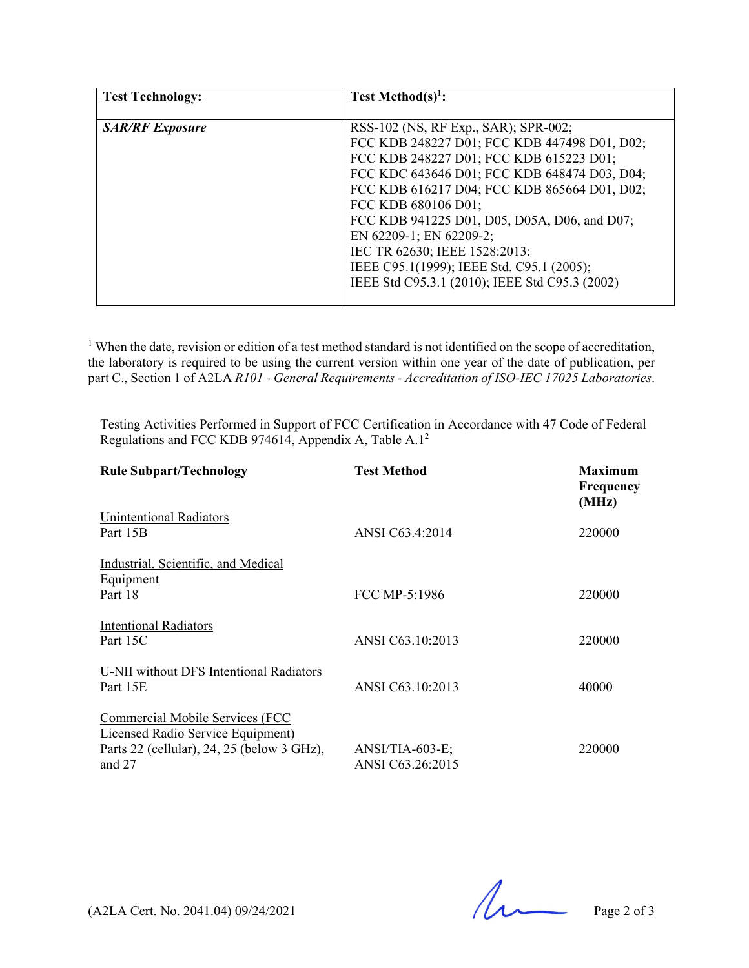| <b>Test Technology:</b> | Test Method(s) <sup>1</sup> :                  |
|-------------------------|------------------------------------------------|
|                         |                                                |
| <b>SAR/RF</b> Exposure  | RSS-102 (NS, RF Exp., SAR); SPR-002;           |
|                         | FCC KDB 248227 D01; FCC KDB 447498 D01, D02;   |
|                         | FCC KDB 248227 D01; FCC KDB 615223 D01;        |
|                         | FCC KDC 643646 D01; FCC KDB 648474 D03, D04;   |
|                         | FCC KDB 616217 D04; FCC KDB 865664 D01, D02;   |
|                         | FCC KDB 680106 D01;                            |
|                         | FCC KDB 941225 D01, D05, D05A, D06, and D07;   |
|                         | EN 62209-1; EN 62209-2;                        |
|                         | IEC TR 62630; IEEE 1528:2013;                  |
|                         | IEEE C95.1(1999); IEEE Std. C95.1 (2005);      |
|                         | IEEE Std C95.3.1 (2010); IEEE Std C95.3 (2002) |
|                         |                                                |

<sup>1</sup> When the date, revision or edition of a test method standard is not identified on the scope of accreditation, the laboratory is required to be using the current version within one year of the date of publication, per part C., Section 1 of A2LA *R101 - General Requirements - Accreditation of ISO-IEC 17025 Laboratories*.

Testing Activities Performed in Support of FCC Certification in Accordance with 47 Code of Federal Regulations and FCC KDB 974614, Appendix A, Table A.12

| <b>Rule Subpart/Technology</b>                                                                                                 | <b>Test Method</b>                    | <b>Maximum</b><br><b>Frequency</b><br>(MHz) |
|--------------------------------------------------------------------------------------------------------------------------------|---------------------------------------|---------------------------------------------|
| <b>Unintentional Radiators</b><br>Part 15B                                                                                     | ANSI C63.4:2014                       | 220000                                      |
| Industrial, Scientific, and Medical<br>Equipment<br>Part 18                                                                    | FCC MP-5:1986                         | 220000                                      |
| Intentional Radiators<br>Part 15C                                                                                              | ANSI C63.10:2013                      | 220000                                      |
| U-NII without DFS Intentional Radiators<br>Part 15E                                                                            | ANSI C63.10:2013                      | 40000                                       |
| Commercial Mobile Services (FCC<br>Licensed Radio Service Equipment)<br>Parts 22 (cellular), 24, 25 (below 3 GHz),<br>and $27$ | $ANSI/TIA-603-E;$<br>ANSI C63.26:2015 | 220000                                      |

 $(A2LA$  Cert. No. 2041.04) 09/24/2021 Page 2 of 3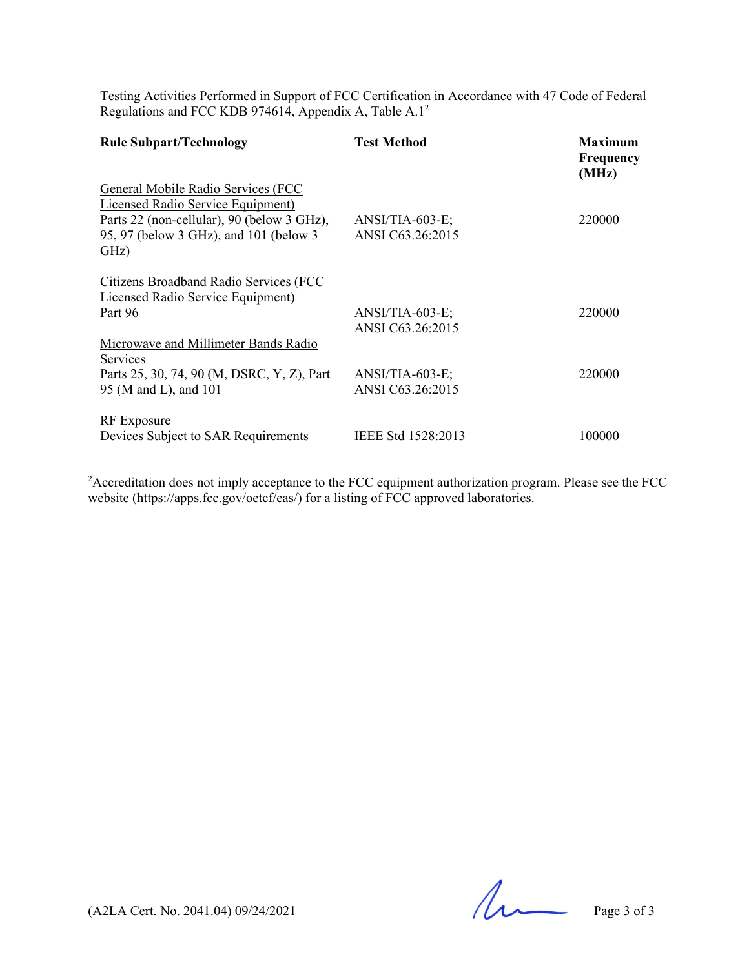Testing Activities Performed in Support of FCC Certification in Accordance with 47 Code of Federal Regulations and FCC KDB 974614, Appendix A, Table A.1<sup>2</sup>

| <b>Rule Subpart/Technology</b>                                                                                                                                                 | <b>Test Method</b>                    | <b>Maximum</b><br><b>Frequency</b><br>(MHz) |
|--------------------------------------------------------------------------------------------------------------------------------------------------------------------------------|---------------------------------------|---------------------------------------------|
| General Mobile Radio Services (FCC<br><b>Licensed Radio Service Equipment)</b><br>Parts 22 (non-cellular), 90 (below 3 GHz),<br>95, 97 (below 3 GHz), and 101 (below 3<br>GHz) | ANSI/TIA-603-E;<br>ANSI C63.26:2015   | 220000                                      |
| Citizens Broadband Radio Services (FCC<br><b>Licensed Radio Service Equipment</b> )<br>Part 96                                                                                 | $ANSI/TIA-603-E;$<br>ANSI C63.26:2015 | 220000                                      |
| Microwave and Millimeter Bands Radio<br>Services<br>Parts 25, 30, 74, 90 (M, DSRC, Y, Z), Part<br>95 (M and L), and 101                                                        | $ANSI/TIA-603-E;$<br>ANSI C63.26:2015 | 220000                                      |
| <b>RF</b> Exposure<br>Devices Subject to SAR Requirements                                                                                                                      | IEEE Std 1528:2013                    | 100000                                      |

 $2A$ ccreditation does not imply acceptance to the FCC equipment authorization program. Please see the FCC website (https://apps.fcc.gov/oetcf/eas/) for a listing of FCC approved laboratories.

 $(A2LA$  Cert. No. 2041.04) 09/24/2021 Page 3 of 3